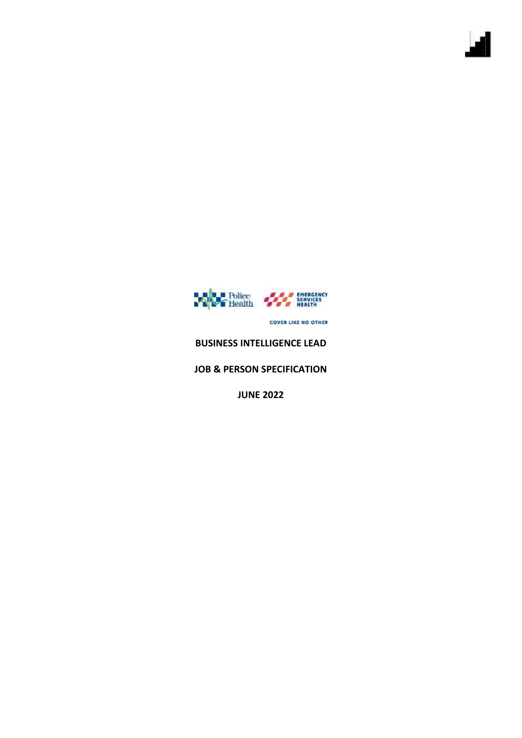

**COVER LIKE NO OTHER** 

# **BUSINESS INTELLIGENCE LEAD**

## **JOB & PERSON SPECIFICATION**

**JUNE 2022**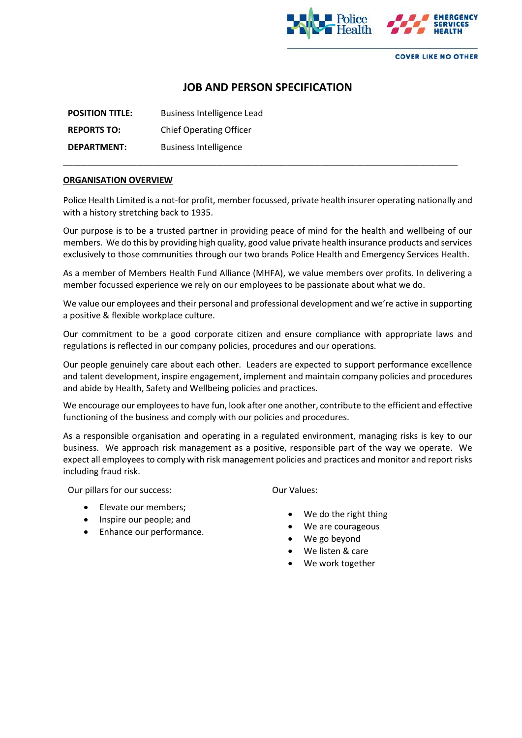

**COVER LIKE NO OTHER** 

# **JOB AND PERSON SPECIFICATION**

| <b>POSITION TITLE:</b> | Business Intelligence Lead     |
|------------------------|--------------------------------|
| <b>REPORTS TO:</b>     | <b>Chief Operating Officer</b> |
| <b>DEPARTMENT:</b>     | <b>Business Intelligence</b>   |

#### **ORGANISATION OVERVIEW**

Police Health Limited is a not-for profit, member focussed, private health insurer operating nationally and with a history stretching back to 1935.

\_\_\_\_\_\_\_\_\_\_\_\_\_\_\_\_\_\_\_\_\_\_\_\_\_\_\_\_\_\_\_\_\_\_\_\_\_\_\_\_\_\_\_\_\_\_\_\_\_\_\_\_\_\_\_\_\_\_\_\_\_\_\_\_\_\_\_\_\_\_\_\_\_\_\_\_\_\_\_\_\_\_\_\_\_\_\_\_\_\_\_\_\_\_\_\_\_\_\_\_\_\_\_\_\_\_\_\_\_\_\_\_\_

Our purpose is to be a trusted partner in providing peace of mind for the health and wellbeing of our members. We do this by providing high quality, good value private health insurance products and services exclusively to those communities through our two brands Police Health and Emergency Services Health.

As a member of Members Health Fund Alliance (MHFA), we value members over profits. In delivering a member focussed experience we rely on our employees to be passionate about what we do.

We value our employees and their personal and professional development and we're active in supporting a positive & flexible workplace culture.

Our commitment to be a good corporate citizen and ensure compliance with appropriate laws and regulations is reflected in our company policies, procedures and our operations.

Our people genuinely care about each other. Leaders are expected to support performance excellence and talent development, inspire engagement, implement and maintain company policies and procedures and abide by Health, Safety and Wellbeing policies and practices.

We encourage our employees to have fun, look after one another, contribute to the efficient and effective functioning of the business and comply with our policies and procedures.

As a responsible organisation and operating in a regulated environment, managing risks is key to our business. We approach risk management as a positive, responsible part of the way we operate. We expect all employees to comply with risk management policies and practices and monitor and report risks including fraud risk.

Our pillars for our success:

Our Values:

- Elevate our members;
- Inspire our people; and
- Enhance our performance.
- We do the right thing
- We are courageous
- We go beyond
- We listen & care
- We work together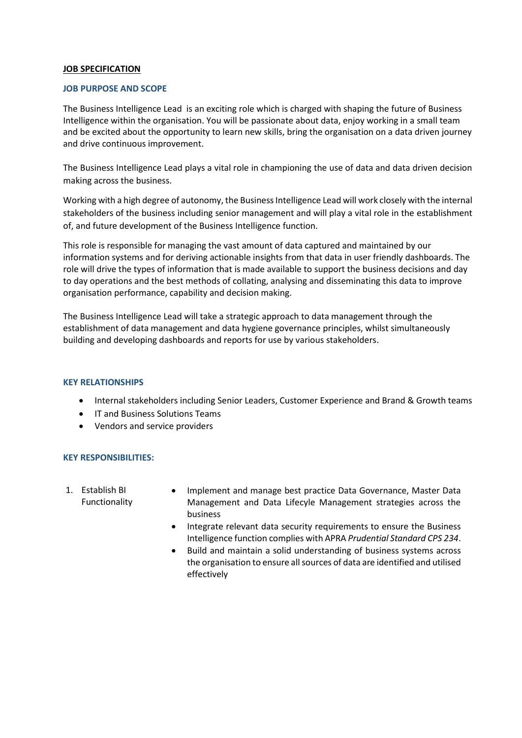#### **JOB SPECIFICATION**

#### **JOB PURPOSE AND SCOPE**

The Business Intelligence Lead is an exciting role which is charged with shaping the future of Business Intelligence within the organisation. You will be passionate about data, enjoy working in a small team and be excited about the opportunity to learn new skills, bring the organisation on a data driven journey and drive continuous improvement.

The Business Intelligence Lead plays a vital role in championing the use of data and data driven decision making across the business.

Working with a high degree of autonomy, the Business Intelligence Lead will work closely with the internal stakeholders of the business including senior management and will play a vital role in the establishment of, and future development of the Business Intelligence function.

This role is responsible for managing the vast amount of data captured and maintained by our information systems and for deriving actionable insights from that data in user friendly dashboards. The role will drive the types of information that is made available to support the business decisions and day to day operations and the best methods of collating, analysing and disseminating this data to improve organisation performance, capability and decision making.

The Business Intelligence Lead will take a strategic approach to data management through the establishment of data management and data hygiene governance principles, whilst simultaneously building and developing dashboards and reports for use by various stakeholders.

#### **KEY RELATIONSHIPS**

- Internal stakeholders including Senior Leaders, Customer Experience and Brand & Growth teams
- IT and Business Solutions Teams
- Vendors and service providers

#### **KEY RESPONSIBILITIES:**

- 1. Establish BI Functionality
- Implement and manage best practice Data Governance, Master Data Management and Data Lifecyle Management strategies across the business
- Integrate relevant data security requirements to ensure the Business Intelligence function complies with APRA *Prudential Standard CPS 234*.
- Build and maintain a solid understanding of business systems across the organisation to ensure all sources of data are identified and utilised effectively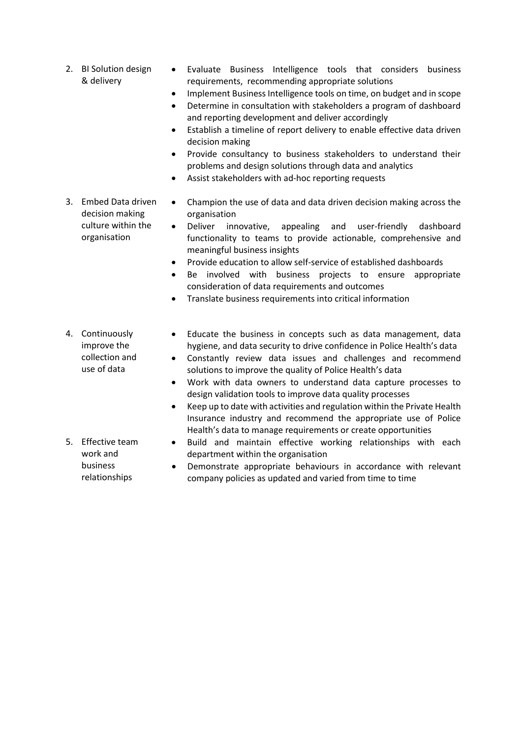- 2. BI Solution design & delivery
- Evaluate Business Intelligence tools that considers business requirements, recommending appropriate solutions
- Implement Business Intelligence tools on time, on budget and in scope
- Determine in consultation with stakeholders a program of dashboard and reporting development and deliver accordingly
- Establish a timeline of report delivery to enable effective data driven decision making
- Provide consultancy to business stakeholders to understand their problems and design solutions through data and analytics
- Assist stakeholders with ad-hoc reporting requests
- 3. Embed Data driven decision making culture within the organisation
- Champion the use of data and data driven decision making across the organisation
- Deliver innovative, appealing and user-friendly dashboard functionality to teams to provide actionable, comprehensive and meaningful business insights
- Provide education to allow self-service of established dashboards
- Be involved with business projects to ensure appropriate consideration of data requirements and outcomes
- Translate business requirements into critical information
- 4. Continuously improve the collection and use of data
- Educate the business in concepts such as data management, data hygiene, and data security to drive confidence in Police Health's data
- Constantly review data issues and challenges and recommend solutions to improve the quality of Police Health's data
- Work with data owners to understand data capture processes to design validation tools to improve data quality processes
- Keep up to date with activities and regulation within the Private Health Insurance industry and recommend the appropriate use of Police Health's data to manage requirements or create opportunities
- Build and maintain effective working relationships with each department within the organisation
- Demonstrate appropriate behaviours in accordance with relevant company policies as updated and varied from time to time
- 5. Effective team work and business relationships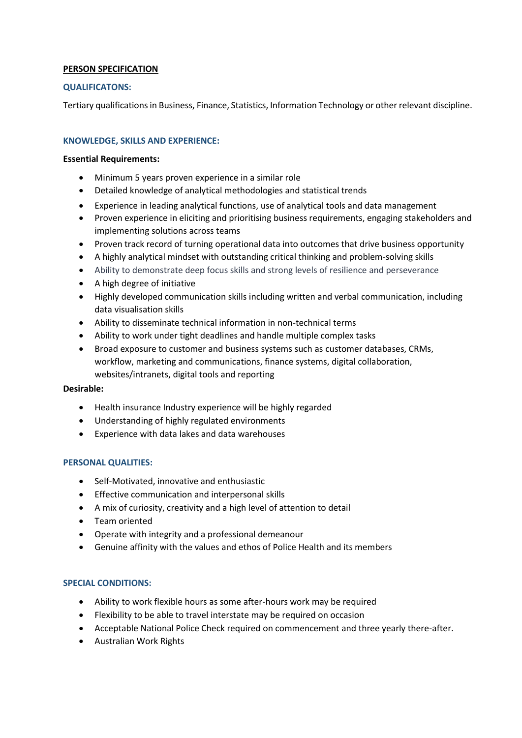## **PERSON SPECIFICATION**

## **QUALIFICATONS:**

Tertiary qualifications in Business, Finance, Statistics, Information Technology or other relevant discipline.

## **KNOWLEDGE, SKILLS AND EXPERIENCE:**

#### **Essential Requirements:**

- Minimum 5 years proven experience in a similar role
- Detailed knowledge of analytical methodologies and statistical trends
- Experience in leading analytical functions, use of analytical tools and data management
- Proven experience in eliciting and prioritising business requirements, engaging stakeholders and implementing solutions across teams
- Proven track record of turning operational data into outcomes that drive business opportunity
- A highly analytical mindset with outstanding critical thinking and problem-solving skills
- Ability to demonstrate deep focus skills and strong levels of resilience and perseverance
- A high degree of initiative
- Highly developed communication skills including written and verbal communication, including data visualisation skills
- Ability to disseminate technical information in non-technical terms
- Ability to work under tight deadlines and handle multiple complex tasks
- Broad exposure to customer and business systems such as customer databases, CRMs, workflow, marketing and communications, finance systems, digital collaboration, websites/intranets, digital tools and reporting

#### **Desirable:**

- Health insurance Industry experience will be highly regarded
- Understanding of highly regulated environments
- Experience with data lakes and data warehouses

#### **PERSONAL QUALITIES:**

- Self-Motivated, innovative and enthusiastic
- Effective communication and interpersonal skills
- A mix of curiosity, creativity and a high level of attention to detail
- Team oriented
- Operate with integrity and a professional demeanour
- Genuine affinity with the values and ethos of Police Health and its members

#### **SPECIAL CONDITIONS:**

- Ability to work flexible hours as some after-hours work may be required
- Flexibility to be able to travel interstate may be required on occasion
- Acceptable National Police Check required on commencement and three yearly there-after.
- Australian Work Rights